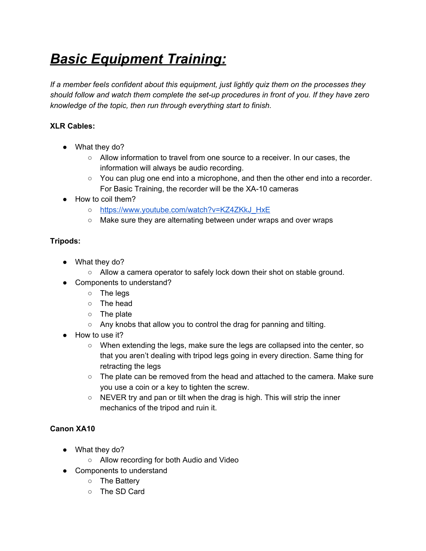# *Basic Equipment Training:*

*If a member feels confident about this equipment, just lightly quiz them on the processes they should follow and watch them complete the set-up procedures in front of you. If they have zero knowledge of the topic, then run through everything start to finish.*

## **XLR Cables:**

- What they do?
	- Allow information to travel from one source to a receiver. In our cases, the information will always be audio recording.
	- You can plug one end into a microphone, and then the other end into a recorder. For Basic Training, the recorder will be the XA-10 cameras
- How to coil them?
	- [https://www.youtube.com/watch?v=KZ4ZKkJ\\_HxE](https://www.youtube.com/watch?v=KZ4ZKkJ_HxE)
	- Make sure they are alternating between under wraps and over wraps

## **Tripods:**

- What they do?
	- Allow a camera operator to safely lock down their shot on stable ground.
- Components to understand?
	- The legs
	- The head
	- The plate
	- Any knobs that allow you to control the drag for panning and tilting.
- How to use it?
	- When extending the legs, make sure the legs are collapsed into the center, so that you aren't dealing with tripod legs going in every direction. Same thing for retracting the legs
	- $\circ$  The plate can be removed from the head and attached to the camera. Make sure you use a coin or a key to tighten the screw.
	- NEVER try and pan or tilt when the drag is high. This will strip the inner mechanics of the tripod and ruin it.

## **Canon XA10**

- What they do?
	- Allow recording for both Audio and Video
- Components to understand
	- The Battery
	- The SD Card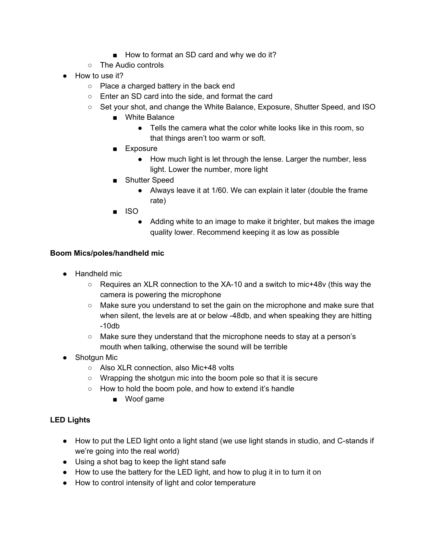- How to format an SD card and why we do it?
- The Audio controls
- How to use it?
	- Place a charged battery in the back end
	- Enter an SD card into the side, and format the card
	- Set your shot, and change the White Balance, Exposure, Shutter Speed, and ISO
		- White Balance
			- Tells the camera what the color white looks like in this room, so that things aren't too warm or soft.
		- Exposure
			- How much light is let through the lense. Larger the number, less light. Lower the number, more light
		- Shutter Speed
			- Always leave it at 1/60. We can explain it later (double the frame rate)
		- ISO
			- Adding white to an image to make it brighter, but makes the image quality lower. Recommend keeping it as low as possible

#### **Boom Mics/poles/handheld mic**

- Handheld mic
	- $\circ$  Requires an XLR connection to the XA-10 and a switch to mic+48v (this way the camera is powering the microphone
	- Make sure you understand to set the gain on the microphone and make sure that when silent, the levels are at or below -48db, and when speaking they are hitting -10db
	- Make sure they understand that the microphone needs to stay at a person's mouth when talking, otherwise the sound will be terrible
- Shotgun Mic
	- Also XLR connection, also Mic+48 volts
	- Wrapping the shotgun mic into the boom pole so that it is secure
	- How to hold the boom pole, and how to extend it's handle
		- Woof game

#### **LED Lights**

- How to put the LED light onto a light stand (we use light stands in studio, and C-stands if we're going into the real world)
- Using a shot bag to keep the light stand safe
- How to use the battery for the LED light, and how to plug it in to turn it on
- How to control intensity of light and color temperature